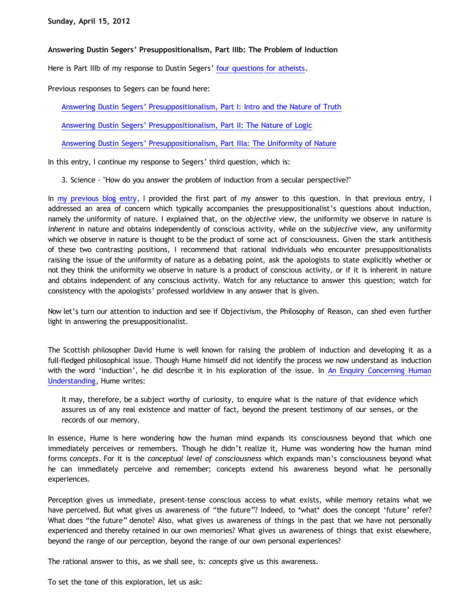**Answering Dustin Segers' Presuppositionalism, Part IIIb: The Problem of Induction**

Here is Part IIIb of my response to Dustin Segers' [four questions for atheists](http://www.blogger.com/href=http://graceinthetriad.blogspot.com/2012/03/outreach-report-reason-rally-2012.html).

Previous responses to Segers can be found here:

[Answering Dustin Segers' Presuppositionalism, Part I: Intro and the Nature of Truth](http://bahnsenburner.blogspot.com/2012/04/answering-dustin-segers.html)

[Answering Dustin Segers' Presuppositionalism, Part II: The Nature of Logic](http://bahnsenburner.blogspot.com/2012/04/answering-dustin-segers_08.html)

[Answering Dustin Segers' Presuppositionalism, Part IIIa: The Uniformity of Nature](http://bahnsenburner.blogspot.com/2012/04/answering-dustin-segers_12.html)

In this entry, I continue my response to Segers' third question, which is:

3. Science - "How do you answer the problem of induction from a secular perspective?"

In [my previous blog entry](http://bahnsenburner.blogspot.com/2012/04/answering-dustin-segers_12.html), I provided the first part of my answer to this question. In that previous entry, I addressed an area of concern which typically accompanies the presuppositionalist's questions about induction, namely the uniformity of nature. I explained that, on the *objective* view, the uniformity we observe in nature is *inherent* in nature and obtains independently of conscious activity, while on the *subjective* view, any uniformity which we observe in nature is thought to be the product of some act of consciousness. Given the stark antithesis of these two contrasting positions, I recommend that rational individuals who encounter presuppositionalists raising the issue of the uniformity of nature as a debating point, ask the apologists to state explicitly whether or not they think the uniformity we observe in nature is a product of conscious activity, or if it is inherent in nature and obtains independent of any conscious activity. Watch for any reluctance to answer this question; watch for consistency with the apologists' professed worldview in any answer that is given.

Now let's turn our attention to induction and see if Objectivism, the Philosophy of Reason, can shed even further light in answering the presuppositionalist.

The Scottish philosopher David Hume is well known for raising the problem of induction and developing it as a full-fledged philosophical issue. Though Hume himself did not identify the process we now understand as induction with the word 'induction', he did describe it in his exploration of the issue. In [An Enquiry Concerning Human](http://www.infidels.org/library/historical/david_hume/human_understanding.html) [Understanding](http://www.infidels.org/library/historical/david_hume/human_understanding.html), Hume writes:

It may, therefore, be a subject worthy of curiosity, to enquire what is the nature of that evidence which assures us of any real existence and matter of fact, beyond the present testimony of our senses, or the records of our memory.

In essence, Hume is here wondering how the human mind expands its consciousness beyond that which one immediately perceives or remembers. Though he didn't realize it, Hume was wondering how the human mind forms *concepts*. For it is the *conceptual level of consciousness* which expands man's consciousness beyond what he can immediately perceive and remember; concepts extend his awareness beyond what he personally experiences.

Perception gives us immediate, present-tense conscious access to what exists, while memory retains what we have perceived. But what gives us awareness of "the future"? Indeed, to \*what\* does the concept 'future' refer? What does "the future" denote? Also, what gives us awareness of things in the past that we have not personally experienced and thereby retained in our own memories? What gives us awareness of things that exist elsewhere, beyond the range of our perception, beyond the range of our own personal experiences?

The rational answer to this, as we shall see, is: *concepts* give us this awareness.

To set the tone of this exploration, let us ask: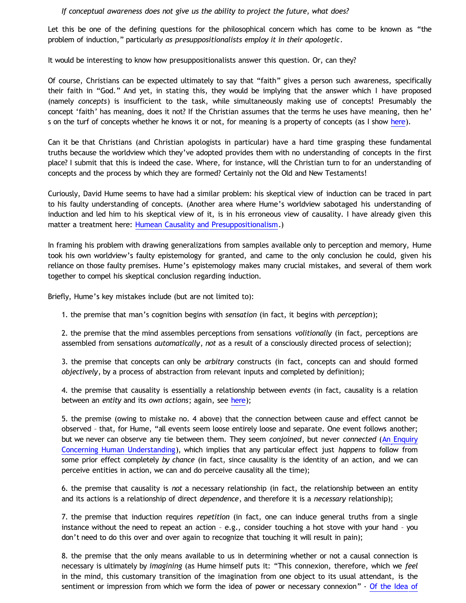## *If conceptual awareness does not give us the ability to project the future, what does?*

Let this be one of the defining questions for the philosophical concern which has come to be known as "the problem of induction," particularly *as presuppositionalists employ it in their apologetic*.

It would be interesting to know how presuppositionalists answer this question. Or, can they?

Of course, Christians can be expected ultimately to say that "faith" gives a person such awareness, specifically their faith in "God." And yet, in stating this, they would be implying that the answer which I have proposed (namely *concepts*) is insufficient to the task, while simultaneously making use of concepts! Presumably the concept 'faith' has meaning, does it not? If the Christian assumes that the terms he uses have meaning, then he' s on the turf of concepts whether he knows it or not, for meaning is a property of concepts (as I show [here](http://bahnsenburner.blogspot.com/2009/06/theistic-misuse-of-concepts-of-meaning.html)).

Can it be that Christians (and Christian apologists in particular) have a hard time grasping these fundamental truths because the worldview which they've adopted provides them with no understanding of concepts in the first place? I submit that this is indeed the case. Where, for instance, will the Christian turn to for an understanding of concepts and the process by which they are formed? Certainly not the Old and New Testaments!

Curiously, David Hume seems to have had a similar problem: his skeptical view of induction can be traced in part to his faulty understanding of concepts. (Another area where Hume's worldview sabotaged his understanding of induction and led him to his skeptical view of it, is in his erroneous view of causality. I have already given this matter a treatment here: [Humean Causality and Presuppositionalism](http://bahnsenburner.blogspot.com/2010/03/humean-causality-and.html).)

In framing his problem with drawing generalizations from samples available only to perception and memory, Hume took his own worldview's faulty epistemology for granted, and came to the only conclusion he could, given his reliance on those faulty premises. Hume's epistemology makes many crucial mistakes, and several of them work together to compel his skeptical conclusion regarding induction.

Briefly, Hume's key mistakes include (but are not limited to):

1. the premise that man's cognition begins with *sensation* (in fact, it begins with *perception*);

2. the premise that the mind assembles perceptions from sensations *volitionally* (in fact, perceptions are assembled from sensations *automatically*, *not* as a result of a consciously directed process of selection);

3. the premise that concepts can only be *arbitrary* constructs (in fact, concepts can and should formed *objectively*, by a process of abstraction from relevant inputs and completed by definition);

4. the premise that causality is essentially a relationship between *events* (in fact, causality is a relation between an *entity* and its *own actions*; again, see [here](http://bahnsenburner.blogspot.com/2010/03/humean-causality-and.html));

5. the premise (owing to mistake no. 4 above) that the connection between cause and effect cannot be observed – that, for Hume, "all events seem loose entirely loose and separate. One event follows another; but we never can observe any tie between them. They seem *conjoined*, but never *connected* [\(An Enquiry](http://www.bartelby.org/37/3/10.html) [Concerning Human Understanding](http://www.bartelby.org/37/3/10.html)), which implies that any particular effect just *happens* to follow from some prior effect completely *by chance* (in fact, since causality is the identity of an action, and we can perceive entities in action, we can and do perceive causality all the time);

6. the premise that causality is *not* a necessary relationship (in fact, the relationship between an entity and its actions is a relationship of direct *dependence*, and therefore it is a *necessary* relationship);

7. the premise that induction requires *repetition* (in fact, one can induce general truths from a single instance without the need to repeat an action – e.g., consider touching a hot stove with your hand – you don't need to do this over and over again to recognize that touching it will result in pain);

8. the premise that the only means available to us in determining whether or not a causal connection is necessary is ultimately by *imagining* (as Hume himself puts it: "This connexion, therefore, which we *feel* in the mind, this customary transition of the imagination from one object to its usual attendant, is the sentiment or impression from which we form the idea of power or necessary connexion" - [Of the Idea of](http://www.bartelby.org/37/3/10.html)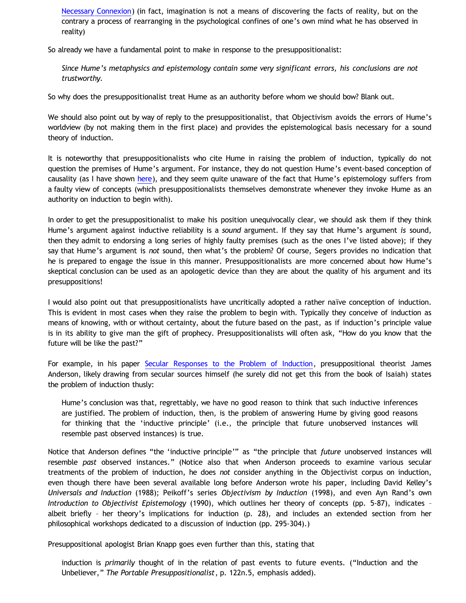[Necessary Connexion](http://www.bartelby.org/37/3/10.html)) (in fact, imagination is not a means of discovering the facts of reality, but on the contrary a process of rearranging in the psychological confines of one's own mind what he has observed in reality)

So already we have a fundamental point to make in response to the presuppositionalist:

*Since Hume's metaphysics and epistemology contain some very significant errors, his conclusions are not trustworthy.*

So why does the presuppositionalist treat Hume as an authority before whom we should bow? Blank out.

We should also point out by way of reply to the presuppositionalist, that Objectivism avoids the errors of Hume's worldview (by not making them in the first place) and provides the epistemological basis necessary for a sound theory of induction.

It is noteworthy that presuppositionalists who cite Hume in raising the problem of induction, typically do not question the premises of Hume's argument. For instance, they do not question Hume's event-based conception of causality (as I have shown [here](http://bahnsenburner.blogspot.com/2010/03/humean-causality-and.html)), and they seem quite unaware of the fact that Hume's epistemology suffers from a faulty view of concepts (which presuppositionalists themselves demonstrate whenever they invoke Hume as an authority on induction to begin with).

In order to get the presuppositionalist to make his position unequivocally clear, we should ask them if they think Hume's argument against inductive reliability is a *sound* argument. If they say that Hume's argument *is* sound, then they admit to endorsing a long series of highly faulty premises (such as the ones I've listed above); if they say that Hume's argument is *not* sound, then what's the problem? Of course, Segers provides no indication that he is prepared to engage the issue in this manner. Presuppositionalists are more concerned about how Hume's skeptical conclusion can be used as an apologetic device than they are about the quality of his argument and its presuppositions!

I would also point out that presuppositionalists have uncritically adopted a rather naïve conception of induction. This is evident in most cases when they raise the problem to begin with. Typically they conceive of induction as means of knowing, with or without certainty, about the future based on the past, as if induction's principle value is in its ability to give man the gift of prophecy. Presuppositionalists will often ask, "How do you know that the future will be like the past?"

For example, in his paper [Secular Responses to the Problem of Induction,](http://www.proginosko.com/docs/induction.html) presuppositional theorist James Anderson, likely drawing from secular sources himself (he surely did not get this from the book of Isaiah) states the problem of induction thusly:

Hume's conclusion was that, regrettably, we have no good reason to think that such inductive inferences are justified. The problem of induction, then, is the problem of answering Hume by giving good reasons for thinking that the 'inductive principle' (i.e., the principle that future unobserved instances will resemble past observed instances) is true.

Notice that Anderson defines "the 'inductive principle'" as "the principle that *future* unobserved instances will resemble *past* observed instances." (Notice also that when Anderson proceeds to examine various secular treatments of the problem of induction, he does *not* consider anything in the Objectivist corpus on induction, even though there have been several available long before Anderson wrote his paper, including David Kelley's *Universals and Induction* (1988); Peikoff's series *Objectivism by Induction* (1998), and even Ayn Rand's own *Introduction to Objectivist Epistemology* (1990), which outlines her theory of concepts (pp. 5-87), indicates – albeit briefly – her theory's implications for induction (p. 28), and includes an extended section from her philosophical workshops dedicated to a discussion of induction (pp. 295-304).)

Presuppositional apologist Brian Knapp goes even further than this, stating that

induction is *primarily* thought of in the relation of past events to future events. ("Induction and the Unbeliever," *The Portable Presuppositionalist*, p. 122n.5, emphasis added).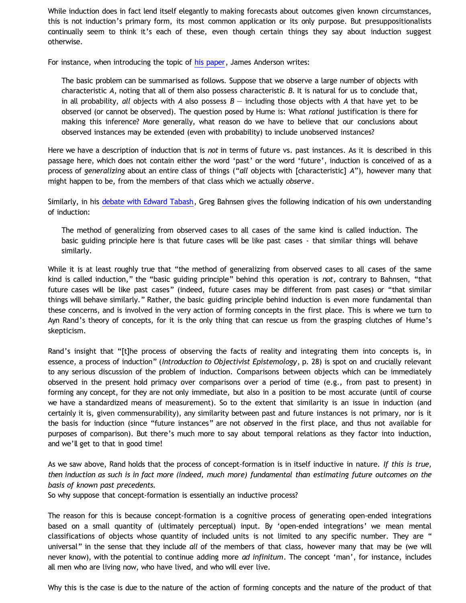While induction does in fact lend itself elegantly to making forecasts about outcomes given known circumstances, this is not induction's primary form, its most common application or its only purpose. But presuppositionalists continually seem to think it's each of these, even though certain things they say about induction suggest otherwise.

For instance, when introducing the topic of [his paper](http://www.proginosko.com/docs/induction.html), James Anderson writes:

The basic problem can be summarised as follows. Suppose that we observe a large number of objects with characteristic *A*, noting that all of them also possess characteristic *B*. It is natural for us to conclude that, in all probability, *all* objects with *A* also possess *B* — including those objects with *A* that have yet to be observed (or cannot be observed). The question posed by Hume is: What *rational* justification is there for making this inference? More generally, what reason do we have to believe that our conclusions about observed instances may be extended (even with probability) to include unobserved instances?

Here we have a description of induction that is *not* in terms of future vs. past instances. As it is described in this passage here, which does not contain either the word 'past' or the word 'future', induction is conceived of as a process of *generalizing* about an entire class of things ("*all* objects with [characteristic] *A*"), however many that might happen to be, from the members of that class which we actually *observe*.

Similarly, in his [debate with Edward Tabash](http://www.forananswer.org/Top_Ath/Bahnsen_Tabash.pdf), Greg Bahnsen gives the following indication of his own understanding of induction:

The method of generalizing from observed cases to all cases of the same kind is called induction. The basic guiding principle here is that future cases will be like past cases - that similar things will behave similarly.

While it is at least roughly true that "the method of generalizing from observed cases to all cases of the same kind is called induction," the "basic guiding principle" behind this operation is *not*, contrary to Bahnsen, "that future cases will be like past cases" (indeed, future cases may be different from past cases) or "that similar things will behave similarly." Rather, the basic guiding principle behind induction is even more fundamental than these concerns, and is involved in the very action of forming concepts in the first place. This is where we turn to Ayn Rand's theory of concepts, for it is the only thing that can rescue us from the grasping clutches of Hume's skepticism.

Rand's insight that "[t]he process of observing the facts of reality and integrating them into concepts is, in essence, a process of induction" (*Introduction to Objectivist Epistemology*, p. 28) is spot on and crucially relevant to any serious discussion of the problem of induction. Comparisons between objects which can be immediately observed in the present hold primacy over comparisons over a period of time (e.g., from past to present) in forming any concept, for they are not only immediate, but also in a position to be most accurate (until of course we have a standardized means of measurement). So to the extent that similarity is an issue in induction (and certainly it is, given commensurability), any similarity between past and future instances is not primary, nor is it the basis for induction (since "future instances" are not *observed* in the first place, and thus not available for purposes of comparison). But there's much more to say about temporal relations as they factor into induction, and we'll get to that in good time!

As we saw above, Rand holds that the process of concept-formation is in itself inductive in nature. *If this is true, then induction as such is in fact more (indeed, much more) fundamental than estimating future outcomes on the basis of known past precedents.*

So why suppose that concept-formation is essentially an inductive process?

The reason for this is because concept-formation is a cognitive process of generating open-ended integrations based on a small quantity of (ultimately perceptual) input. By 'open-ended integrations' we mean mental classifications of objects whose quantity of included units is not limited to any specific number. They are " universal" in the sense that they include *all* of the members of that class, however many that may be (we will never know), with the potential to continue adding more *ad infinitum*. The concept 'man', for instance, includes all men who are living now, who have lived, and who will ever live.

Why this is the case is due to the nature of the action of forming concepts and the nature of the product of that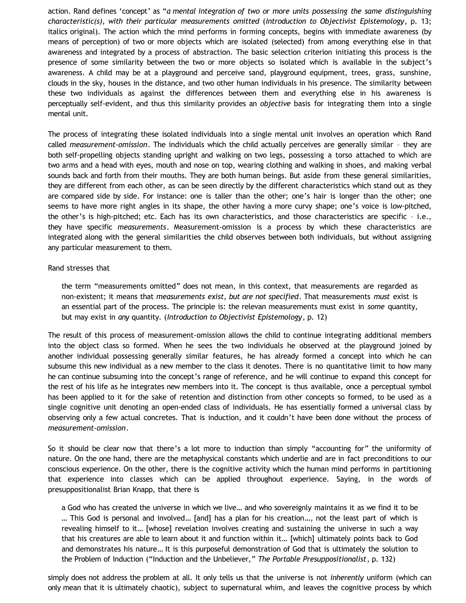action. Rand defines 'concept' as "*a mental integration of two or more units possessing the same distinguishing characteristic(s), with their particular measurements omitted* (*Introduction to Objectivist Epistemology*, p. 13; italics original). The action which the mind performs in forming concepts, begins with immediate awareness (by means of perception) of two or more objects which are isolated (selected) from among everything else in that awareness and integrated by a process of abstraction. The basic selection criterion initiating this process is the presence of some similarity between the two or more objects so isolated which is available in the subject's awareness. A child may be at a playground and perceive sand, playground equipment, trees, grass, sunshine, clouds in the sky, houses in the distance, and two other human individuals in his presence. The similarity between these two individuals as against the differences between them and everything else in his awareness is perceptually self-evident, and thus this similarity provides an *objective* basis for integrating them into a single mental unit.

The process of integrating these isolated individuals into a single mental unit involves an operation which Rand called *measurement-omission*. The individuals which the child actually perceives are generally similar – they are both self-propelling objects standing upright and walking on two legs, possessing a torso attached to which are two arms and a head with eyes, mouth and nose on top, wearing clothing and walking in shoes, and making verbal sounds back and forth from their mouths. They are both human beings. But aside from these general similarities, they are different from each other, as can be seen directly by the different characteristics which stand out as they are compared side by side. For instance: one is taller than the other; one's hair is longer than the other; one seems to have more right angles in its shape, the other having a more curvy shape; one's voice is low-pitched, the other's is high-pitched; etc. Each has its own characteristics, and those characteristics are specific – i.e., they have specific *measurements*. Measurement-omission is a process by which these characteristics are integrated along with the general similarities the child observes between both individuals, but without assigning any particular measurement to them.

## Rand stresses that

the term "measurements omitted" does not mean, in this context, that measurements are regarded as non-existent; it means that *measurements exist, but are not specified*. That measurements *must* exist is an essential part of the process. The principle is: the relevan measurements must exist in *some* quantity, but may exist in *any* quantity. (*Introduction to Objectivist Epistemology*, p. 12)

The result of this process of measurement-omission allows the child to continue integrating additional members into the object class so formed. When he sees the two individuals he observed at the playground joined by another individual possessing generally similar features, he has already formed a concept into which he can subsume this new individual as a new member to the class it denotes. There is no quantitative limit to how many he can continue subsuming into the concept's range of reference, and he will continue to expand this concept for the rest of his life as he integrates new members into it. The concept is thus available, once a perceptual symbol has been applied to it for the sake of retention and distinction from other concepts so formed, to be used as a single cognitive unit denoting an open-ended class of individuals. He has essentially formed a universal class by observing only a few actual concretes. That is induction, and it couldn't have been done without the process of *measurement-omission*.

So it should be clear now that there's a lot more to induction than simply "accounting for" the uniformity of nature. On the one hand, there are the metaphysical constants which underlie and are in fact preconditions to our conscious experience. On the other, there is the cognitive activity which the human mind performs in partitioning that experience into classes which can be applied throughout experience. Saying, in the words of presuppositionalist Brian Knapp, that there is

a God who has created the universe in which we live… and who sovereignly maintains it as we find it to be … This God is personal and involved… [and] has a plan for his creation…, not the least part of which is revealing himself to it… [whose] revelation involves creating and sustaining the universe in such a way that his creatures are able to learn about it and function within it… [which] ultimately points back to God and demonstrates his nature… It is this purposeful demonstration of God that is ultimately the solution to the Problem of Induction ("Induction and the Unbeliever," *The Portable Presuppositionalist*, p. 132)

simply does not address the problem at all. It only tells us that the universe is not *inherently* uniform (which can only mean that it is ultimately chaotic), subject to supernatural whim, and leaves the cognitive process by which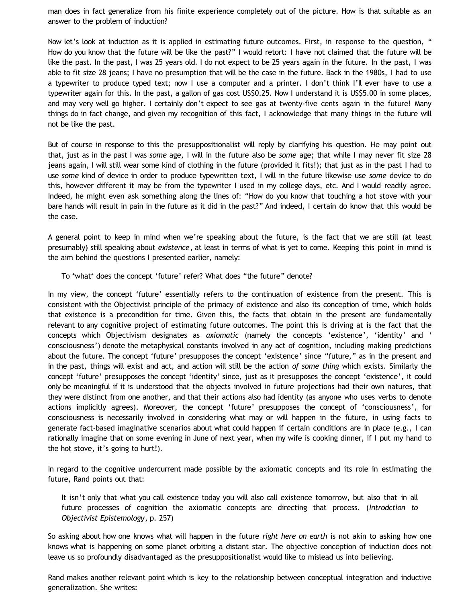man does in fact generalize from his finite experience completely out of the picture. How is that suitable as an answer to the problem of induction?

Now let's look at induction as it is applied in estimating future outcomes. First, in response to the question, " How do you know that the future will be like the past?" I would retort: I have not claimed that the future will be like the past. In the past, I was 25 years old. I do not expect to be 25 years again in the future. In the past, I was able to fit size 28 jeans; I have no presumption that will be the case in the future. Back in the 1980s, I had to use a typewriter to produce typed text; now I use a computer and a printer. I don't think I'll ever have to use a typewriter again for this. In the past, a gallon of gas cost US\$0.25. Now I understand it is US\$5.00 in some places, and may very well go higher. I certainly don't expect to see gas at twenty-five cents again in the future! Many things do in fact change, and given my recognition of this fact, I acknowledge that many things in the future will not be like the past.

But of course in response to this the presuppositionalist will reply by clarifying his question. He may point out that, just as in the past I was *some* age, I will in the future also be *some* age; that while I may never fit size 28 jeans again, I will still wear some kind of clothing in the future (provided it fits!); that just as in the past I had to use *some* kind of device in order to produce typewritten text, I will in the future likewise use *some* device to do this, however different it may be from the typewriter I used in my college days, etc. And I would readily agree. Indeed, he might even ask something along the lines of: "How do you know that touching a hot stove with your bare hands will result in pain in the future as it did in the past?" And indeed, I certain do know that this would be the case.

A general point to keep in mind when we're speaking about the future, is the fact that we are still (at least presumably) still speaking about *existence*, at least in terms of what is yet to come. Keeping this point in mind is the aim behind the questions I presented earlier, namely:

To \*what\* does the concept 'future' refer? What does "the future" denote?

In my view, the concept 'future' essentially refers to the continuation of existence from the present. This is consistent with the Objectivist principle of the primacy of existence and also its conception of time, which holds that existence is a precondition for time. Given this, the facts that obtain in the present are fundamentally relevant to any cognitive project of estimating future outcomes. The point this is driving at is the fact that the concepts which Objectivism designates as *axiomatic* (namely the concepts 'existence', 'identity' and ' consciousness') denote the metaphysical constants involved in any act of cognition, including making predictions about the future. The concept 'future' presupposes the concept 'existence' since "future," as in the present and in the past, things will exist and act, and action will still be the action *of some thing* which exists. Similarly the concept 'future' presupposes the concept 'identity' since, just as it presupposes the concept 'existence', it could only be meaningful if it is understood that the objects involved in future projections had their own natures, that they were distinct from one another, and that their actions also had identity (as anyone who uses verbs to denote actions implicitly agrees). Moreover, the concept 'future' presupposes the concept of 'consciousness', for consciousness is necessarily involved in considering what may or will happen in the future, in using facts to generate fact-based imaginative scenarios about what could happen if certain conditions are in place (e.g., I can rationally imagine that on some evening in June of next year, when my wife is cooking dinner, if I put my hand to the hot stove, it's going to hurt!).

In regard to the cognitive undercurrent made possible by the axiomatic concepts and its role in estimating the future, Rand points out that:

It isn't only that what you call existence today you will also call existence tomorrow, but also that in all future processes of cognition the axiomatic concepts are directing that process. (*Introdction to Objectivist Epistemology*, p. 257)

So asking about how one knows what will happen in the future *right here on earth* is not akin to asking how one knows what is happening on some planet orbiting a distant star. The objective conception of induction does not leave us so profoundly disadvantaged as the presuppositionalist would like to mislead us into believing.

Rand makes another relevant point which is key to the relationship between conceptual integration and inductive generalization. She writes: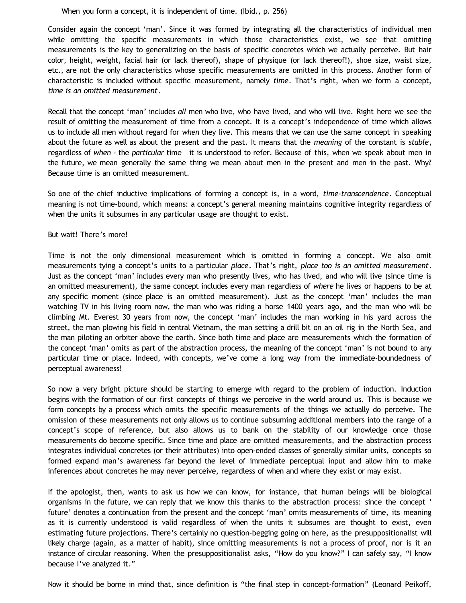## When you form a concept, it is independent of time. (Ibid., p. 256)

Consider again the concept 'man'. Since it was formed by integrating all the characteristics of individual men while omitting the specific measurements in which those characteristics exist, we see that omitting measurements is the key to generalizing on the basis of specific concretes which we actually perceive. But hair color, height, weight, facial hair (or lack thereof), shape of physique (or lack thereof!), shoe size, waist size, etc., are not the only characteristics whose specific measurements are omitted in this process. Another form of characteristic is included without specific measurement, namely *time*. That's right, when we form a concept, *time is an omitted measurement*.

Recall that the concept 'man' includes *all* men who live, who have lived, and who will live. Right here we see the result of omitting the measurement of time from a concept. It is a concept's independence of time which allows us to include all men without regard for *when* they live. This means that we can use the same concept in speaking about the future as well as about the present and the past. It means that the *meaning* of the constant is *stable*, regardless of *when* - the *particular* time – it is understood to refer. Because of this, when we speak about men in the future, we mean generally the same thing we mean about men in the present and men in the past. Why? Because time is an omitted measurement.

So one of the chief inductive implications of forming a concept is, in a word, *time-transcendence*. Conceptual meaning is not time-bound, which means: a concept's general meaning maintains cognitive integrity regardless of when the units it subsumes in any particular usage are thought to exist.

## But wait! There's more!

Time is not the only dimensional measurement which is omitted in forming a concept. We also omit measurements tying a concept's units to a particular *place*. That's right, *place too is an omitted measurement*. Just as the concept 'man' includes every man who presently lives, who has lived, and who will live (since time is an omitted measurement), the same concept includes every man regardless of *where* he lives or happens to be at any specific moment (since place is an omitted measurement). Just as the concept 'man' includes the man watching TV in his living room now, the man who was riding a horse 1400 years ago, and the man who will be climbing Mt. Everest 30 years from now, the concept 'man' includes the man working in his yard across the street, the man plowing his field in central Vietnam, the man setting a drill bit on an oil rig in the North Sea, and the man piloting an orbiter above the earth. Since both time and place are measurements which the formation of the concept 'man' omits as part of the abstraction process, the meaning of the concept 'man' is not bound to any particular time or place. Indeed, with concepts, we've come a long way from the immediate-boundedness of perceptual awareness!

So now a very bright picture should be starting to emerge with regard to the problem of induction. Induction begins with the formation of our first concepts of things we perceive in the world around us. This is because we form concepts by a process which omits the specific measurements of the things we actually do perceive. The omission of these measurements not only allows us to continue subsuming additional members into the range of a concept's scope of reference, but also allows us to bank on the stability of our knowledge once those measurements do become specific. Since time and place are omitted measurements, and the abstraction process integrates individual concretes (or their attributes) into open-ended classes of generally similar units, concepts so formed expand man's awareness far beyond the level of immediate perceptual input and allow him to make inferences about concretes he may never perceive, regardless of when and where they exist or may exist.

If the apologist, then, wants to ask us how we can know, for instance, that human beings will be biological organisms in the future, we can reply that we know this thanks to the abstraction process: since the concept ' future' denotes a continuation from the present and the concept 'man' omits measurements of time, its meaning as it is currently understood is valid regardless of when the units it subsumes are thought to exist, even estimating future projections. There's certainly no question-begging going on here, as the presuppositionalist will likely charge (again, as a matter of habit), since omitting measurements is not a process of proof, nor is it an instance of circular reasoning. When the presuppositionalist asks, "How do you know?" I can safely say, "I know because I've analyzed it."

Now it should be borne in mind that, since definition is "the final step in concept-formation" (Leonard Peikoff,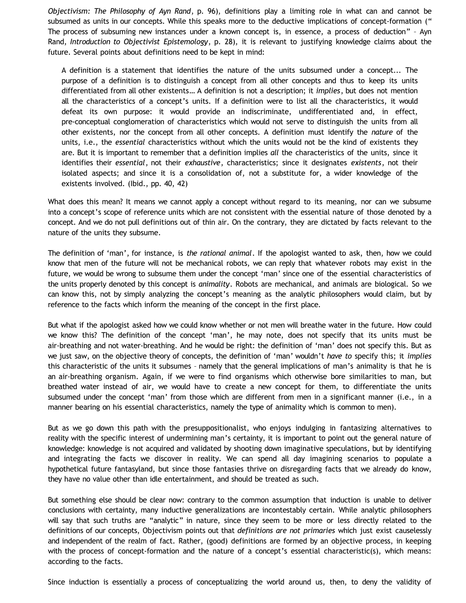*Objectivism: The Philosophy of Ayn Rand*, p. 96), definitions play a limiting role in what can and cannot be subsumed as units in our concepts. While this speaks more to the deductive implications of concept-formation (" The process of subsuming new instances under a known concept is, in essence, a process of deduction" – Ayn Rand, *Introduction to Objectivist Epistemology*, p. 28), it is relevant to justifying knowledge claims about the future. Several points about definitions need to be kept in mind:

A definition is a statement that identifies the nature of the units subsumed under a concept... The purpose of a definition is to distinguish a concept from all other concepts and thus to keep its units differentiated from all other existents… A definition is not a description; it *implies*, but does not mention all the characteristics of a concept's units. If a definition were to list all the characteristics, it would defeat its own purpose: it would provide an indiscriminate, undifferentiated and, in effect, pre-conceptual conglomeration of characteristics which would not serve to distinguish the units from all other existents, nor the concept from all other concepts. A definition must identify the *nature* of the units, i.e., the *essential* characteristics without which the units would not be the kind of existents they are. But it is important to remember that a definition implies *all* the characteristics of the units, since it identifies their *essential*, not their *exhaustive*, characteristics; since it designates *existents*, not their isolated aspects; and since it is a consolidation of, not a substitute for, a wider knowledge of the existents involved. (Ibid., pp. 40, 42)

What does this mean? It means we cannot apply a concept without regard to its meaning, nor can we subsume into a concept's scope of reference units which are not consistent with the essential nature of those denoted by a concept. And we do not pull definitions out of thin air. On the contrary, they are dictated by facts relevant to the nature of the units they subsume.

The definition of 'man', for instance, is *the rational animal*. If the apologist wanted to ask, then, how we could know that men of the future will not be mechanical robots, we can reply that whatever robots may exist in the future, we would be wrong to subsume them under the concept 'man' since one of the essential characteristics of the units properly denoted by this concept is *animality*. Robots are mechanical, and animals are biological. So we can know this, not by simply analyzing the concept's meaning as the analytic philosophers would claim, but by reference to the facts which inform the meaning of the concept in the first place.

But what if the apologist asked how we could know whether or not men will breathe water in the future. How could we know this? The definition of the concept 'man', he may note, does not specify that its units must be air-breathing and not water-breathing. And he would be right: the definition of 'man' does not specify this. But as we just saw, on the objective theory of concepts, the definition of 'man' wouldn't *have to* specify this; it *implies* this characteristic of the units it subsumes – namely that the general implications of man's animality is that he is an air-breathing organism. Again, if we were to find organisms which otherwise bore similarities to man, but breathed water instead of air, we would have to create a new concept for them, to differentiate the units subsumed under the concept 'man' from those which are different from men in a significant manner (i.e., in a manner bearing on his essential characteristics, namely the type of animality which is common to men).

But as we go down this path with the presuppositionalist, who enjoys indulging in fantasizing alternatives to reality with the specific interest of undermining man's certainty, it is important to point out the general nature of knowledge: knowledge is not acquired and validated by shooting down imaginative speculations, but by identifying and integrating the facts we discover in reality. We can spend all day imagining scenarios to populate a hypothetical future fantasyland, but since those fantasies thrive on disregarding facts that we already do know, they have no value other than idle entertainment, and should be treated as such.

But something else should be clear now: contrary to the common assumption that induction is unable to deliver conclusions with certainty, many inductive generalizations are incontestably certain. While analytic philosophers will say that such truths are "analytic" in nature, since they seem to be more or less directly related to the definitions of our concepts, Objectivism points out that *definitions are not primaries* which just exist causelessly and independent of the realm of fact. Rather, (good) definitions are formed by an objective process, in keeping with the process of concept-formation and the nature of a concept's essential characteristic(s), which means: according to the facts.

Since induction is essentially a process of conceptualizing the world around us, then, to deny the validity of